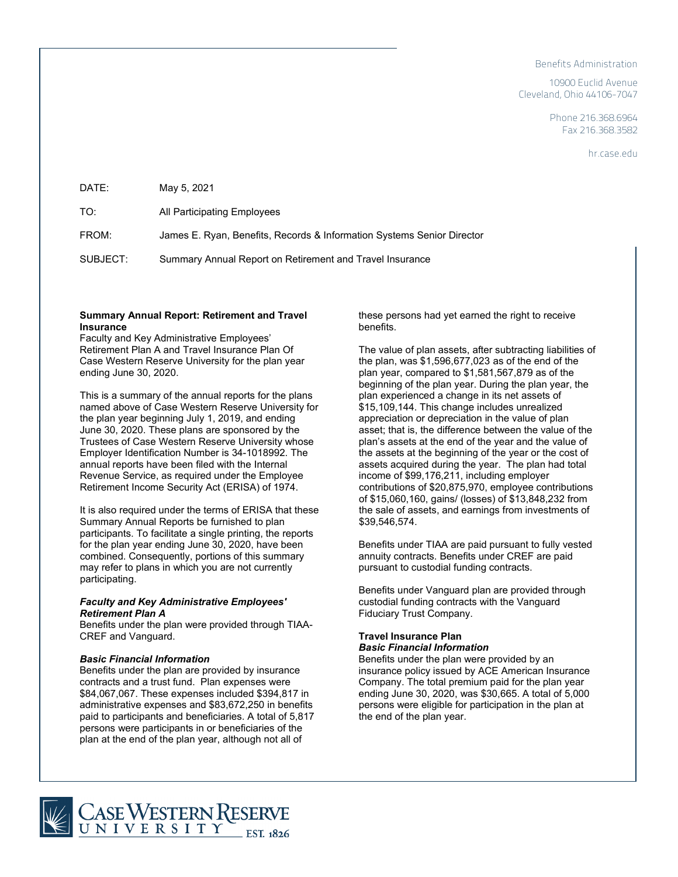#### Benefits Administration

10900 Euclid Avenue Cleveland, Ohio 44106-7047

> Phone 216.368.6964 Fax 216.368.3582

> > hr.case.edu

| DATE:    | May 5, 2021                                                            |
|----------|------------------------------------------------------------------------|
| TO:      | All Participating Employees                                            |
| FROM:    | James E. Ryan, Benefits, Records & Information Systems Senior Director |
| SUBJECT: | Summary Annual Report on Retirement and Travel Insurance               |

### **Summary Annual Report: Retirement and Travel Insurance**

Faculty and Key Administrative Employees' Retirement Plan A and Travel Insurance Plan Of Case Western Reserve University for the plan year ending June 30, 2020.

This is a summary of the annual reports for the plans named above of Case Western Reserve University for the plan year beginning July 1, 2019, and ending June 30, 2020. These plans are sponsored by the Trustees of Case Western Reserve University whose Employer Identification Number is 34-1018992. The annual reports have been filed with the Internal Revenue Service, as required under the Employee Retirement Income Security Act (ERISA) of 1974.

It is also required under the terms of ERISA that these Summary Annual Reports be furnished to plan participants. To facilitate a single printing, the reports for the plan year ending June 30, 2020, have been combined. Consequently, portions of this summary may refer to plans in which you are not currently participating.

# *Faculty and Key Administrative Employees' Retirement Plan A*

Benefits under the plan were provided through TIAA-CREF and Vanguard.

## *Basic Financial Information*

Benefits under the plan are provided by insurance contracts and a trust fund. Plan expenses were \$84,067,067. These expenses included \$394,817 in administrative expenses and \$83,672,250 in benefits paid to participants and beneficiaries. A total of 5,817 persons were participants in or beneficiaries of the plan at the end of the plan year, although not all of

these persons had yet earned the right to receive benefits.

The value of plan assets, after subtracting liabilities of the plan, was \$1,596,677,023 as of the end of the plan year, compared to \$1,581,567,879 as of the beginning of the plan year. During the plan year, the plan experienced a change in its net assets of \$15,109,144. This change includes unrealized appreciation or depreciation in the value of plan asset; that is, the difference between the value of the plan's assets at the end of the year and the value of the assets at the beginning of the year or the cost of assets acquired during the year. The plan had total income of \$99,176,211, including employer contributions of \$20,875,970, employee contributions of \$15,060,160, gains/ (losses) of \$13,848,232 from the sale of assets, and earnings from investments of \$39,546,574.

Benefits under TIAA are paid pursuant to fully vested annuity contracts. Benefits under CREF are paid pursuant to custodial funding contracts.

Benefits under Vanguard plan are provided through custodial funding contracts with the Vanguard Fiduciary Trust Company.

#### **Travel Insurance Plan** *Basic Financial Information*

Benefits under the plan were provided by an insurance policy issued by ACE American Insurance Company. The total premium paid for the plan year ending June 30, 2020, was \$30,665. A total of 5,000 persons were eligible for participation in the plan at the end of the plan year.